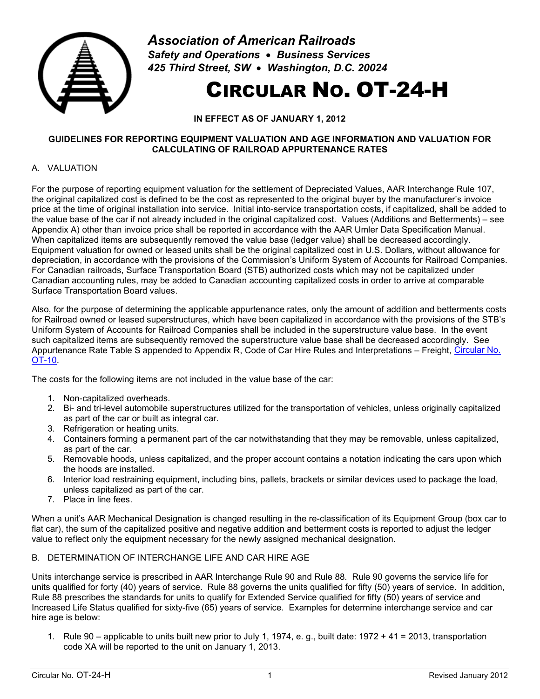

*Association of American Railroads Safety and Operations* • *Business Services 425 Third Street, SW* • *Washington, D.C. 20024*

# CIRCULAR NO. OT-24-H

**IN EFFECT AS OF JANUARY 1, 2012** 

#### **GUIDELINES FOR REPORTING EQUIPMENT VALUATION AND AGE INFORMATION AND VALUATION FOR CALCULATING OF RAILROAD APPURTENANCE RATES**

# A. VALUATION

For the purpose of reporting equipment valuation for the settlement of Depreciated Values, AAR Interchange Rule 107, the original capitalized cost is defined to be the cost as represented to the original buyer by the manufacturer's invoice price at the time of original installation into service. Initial into-service transportation costs, if capitalized, shall be added to the value base of the car if not already included in the original capitalized cost. Values (Additions and Betterments) – see Appendix A) other than invoice price shall be reported in accordance with the AAR Umler Data Specification Manual. When capitalized items are subsequently removed the value base (ledger value) shall be decreased accordingly. Equipment valuation for owned or leased units shall be the original capitalized cost in U.S. Dollars, without allowance for depreciation, in accordance with the provisions of the Commission's Uniform System of Accounts for Railroad Companies. For Canadian railroads, Surface Transportation Board (STB) authorized costs which may not be capitalized under Canadian accounting rules, may be added to Canadian accounting capitalized costs in order to arrive at comparable Surface Transportation Board values.

Also, for the purpose of determining the applicable appurtenance rates, only the amount of addition and betterments costs for Railroad owned or leased superstructures, which have been capitalized in accordance with the provisions of the STB's Uniform System of Accounts for Railroad Companies shall be included in the superstructure value base. In the event such capitalized items are subsequently removed the superstructure value base shall be decreased accordingly. See Appurtenance Rate Table S appended to Appendix R, Code of Car Hire Rules and Interpretations – Freight, [Circular No.](https://www.railinc.com/rportal/documents/18/260773/OT-10.pdf)  [OT-10.](https://www.railinc.com/rportal/documents/18/260773/OT-10.pdf)

The costs for the following items are not included in the value base of the car:

- 1. Non-capitalized overheads.
- 2. Bi- and tri-level automobile superstructures utilized for the transportation of vehicles, unless originally capitalized as part of the car or built as integral car.
- 3. Refrigeration or heating units.
- 4. Containers forming a permanent part of the car notwithstanding that they may be removable, unless capitalized, as part of the car.
- 5. Removable hoods, unless capitalized, and the proper account contains a notation indicating the cars upon which the hoods are installed.
- 6. Interior load restraining equipment, including bins, pallets, brackets or similar devices used to package the load, unless capitalized as part of the car.
- 7. Place in line fees.

When a unit's AAR Mechanical Designation is changed resulting in the re-classification of its Equipment Group (box car to flat car), the sum of the capitalized positive and negative addition and betterment costs is reported to adjust the ledger value to reflect only the equipment necessary for the newly assigned mechanical designation.

## B. DETERMINATION OF INTERCHANGE LIFE AND CAR HIRE AGE

Units interchange service is prescribed in AAR Interchange Rule 90 and Rule 88. Rule 90 governs the service life for units qualified for forty (40) years of service. Rule 88 governs the units qualified for fifty (50) years of service. In addition, Rule 88 prescribes the standards for units to qualify for Extended Service qualified for fifty (50) years of service and Increased Life Status qualified for sixty-five (65) years of service. Examples for determine interchange service and car hire age is below:

1. Rule 90 – applicable to units built new prior to July 1, 1974, e. g., built date: 1972 + 41 = 2013, transportation code XA will be reported to the unit on January 1, 2013.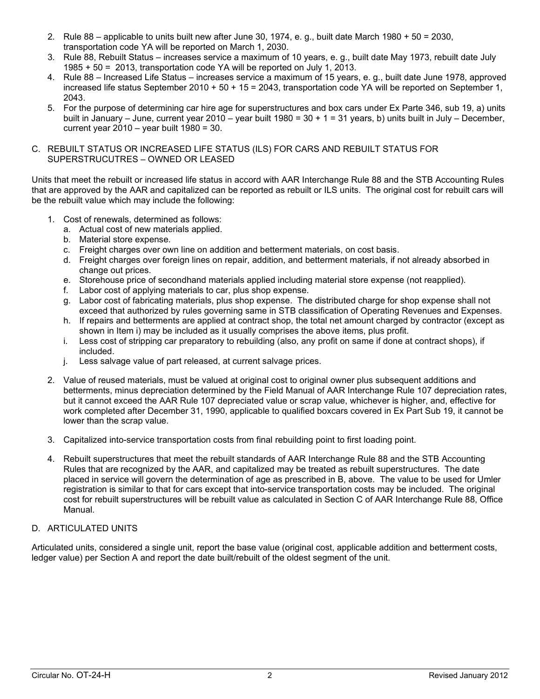- 2. Rule 88 applicable to units built new after June 30, 1974, e. g., built date March 1980 + 50 = 2030, transportation code YA will be reported on March 1, 2030.
- 3. Rule 88, Rebuilt Status increases service a maximum of 10 years, e. g., built date May 1973, rebuilt date July 1985 + 50 = 2013, transportation code YA will be reported on July 1, 2013.
- 4. Rule 88 Increased Life Status increases service a maximum of 15 years, e. g., built date June 1978, approved increased life status September 2010 + 50 + 15 = 2043, transportation code YA will be reported on September 1, 2043.
- 5. For the purpose of determining car hire age for superstructures and box cars under Ex Parte 346, sub 19, a) units built in January – June, current year 2010 – year built 1980 = 30 + 1 = 31 years, b) units built in July – December, current year  $2010 -$  year built  $1980 = 30$ .
- C. REBUILT STATUS OR INCREASED LIFE STATUS (ILS) FOR CARS AND REBUILT STATUS FOR SUPERSTRUCUTRES – OWNED OR LEASED

Units that meet the rebuilt or increased life status in accord with AAR Interchange Rule 88 and the STB Accounting Rules that are approved by the AAR and capitalized can be reported as rebuilt or ILS units. The original cost for rebuilt cars will be the rebuilt value which may include the following:

- 1. Cost of renewals, determined as follows:
	- a. Actual cost of new materials applied.
	- b. Material store expense.
	- c. Freight charges over own line on addition and betterment materials, on cost basis.
	- d. Freight charges over foreign lines on repair, addition, and betterment materials, if not already absorbed in change out prices.
	- e. Storehouse price of secondhand materials applied including material store expense (not reapplied).
	- f. Labor cost of applying materials to car, plus shop expense.
	- g. Labor cost of fabricating materials, plus shop expense. The distributed charge for shop expense shall not exceed that authorized by rules governing same in STB classification of Operating Revenues and Expenses.
	- h. If repairs and betterments are applied at contract shop, the total net amount charged by contractor (except as shown in Item i) may be included as it usually comprises the above items, plus profit.
	- i. Less cost of stripping car preparatory to rebuilding (also, any profit on same if done at contract shops), if included.
	- j. Less salvage value of part released, at current salvage prices.
- 2. Value of reused materials, must be valued at original cost to original owner plus subsequent additions and betterments, minus depreciation determined by the Field Manual of AAR Interchange Rule 107 depreciation rates, but it cannot exceed the AAR Rule 107 depreciated value or scrap value, whichever is higher, and, effective for work completed after December 31, 1990, applicable to qualified boxcars covered in Ex Part Sub 19, it cannot be lower than the scrap value.
- 3. Capitalized into-service transportation costs from final rebuilding point to first loading point.
- 4. Rebuilt superstructures that meet the rebuilt standards of AAR Interchange Rule 88 and the STB Accounting Rules that are recognized by the AAR, and capitalized may be treated as rebuilt superstructures. The date placed in service will govern the determination of age as prescribed in B, above. The value to be used for Umler registration is similar to that for cars except that into-service transportation costs may be included. The original cost for rebuilt superstructures will be rebuilt value as calculated in Section C of AAR Interchange Rule 88, Office Manual.

# D. ARTICULATED UNITS

Articulated units, considered a single unit, report the base value (original cost, applicable addition and betterment costs, ledger value) per Section A and report the date built/rebuilt of the oldest segment of the unit.